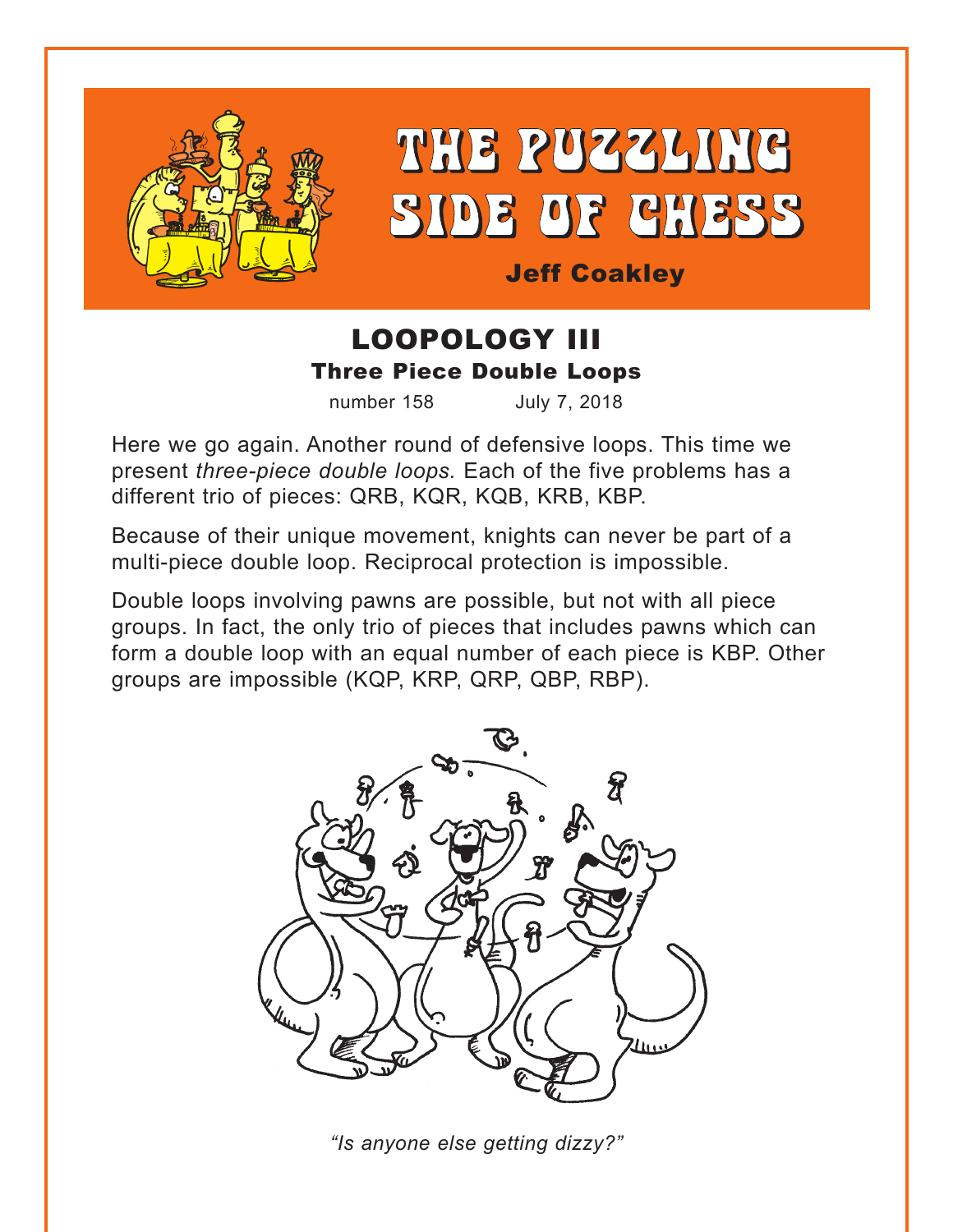

THE PUZZLING SIDE OF CHESS

Jeff Coakley

# LOOPOLOGY III Three Piece Double Loops

number 158 July 7, 2018

Here we go again. Another round of defensive loops. This time we present *three-piece double loops.* Each of the five problems has a different trio of pieces: QRB, KQR, KQB, KRB, KBP.

Because of their unique movement, knights can never be part of a multi-piece double loop. Reciprocal protection is impossible.

Double loops involving pawns are possible, but not with all piece groups. In fact, the only trio of pieces that includes pawns which can form a double loop with an equal number of each piece is KBP. Other groups are impossible (KQP, KRP, QRP, QBP, RBP).



*"Is anyone else getting dizzy?"*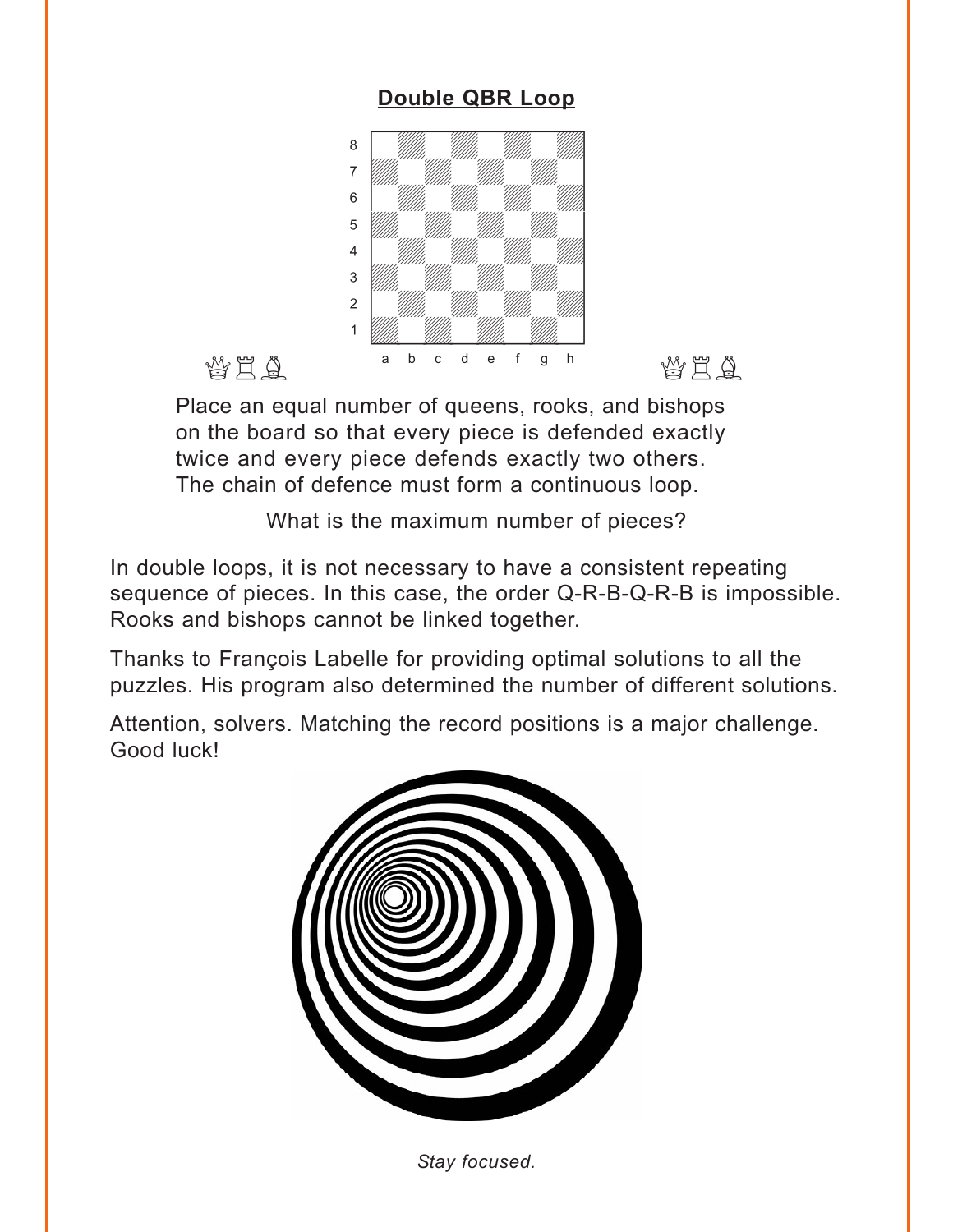# **[Double QBR Loop](#page-5-0)**

<span id="page-1-0"></span>

Place an equal number of queens, rooks, and bishops on the board so that every piece is defended exactly twice and every piece defends exactly two others. The chain of defence must form a continuous loop.

What is the maximum number of pieces?

In double loops, it is not necessary to have a consistent repeating sequence of pieces. In this case, the order Q-R-B-Q-R-B is impossible. Rooks and bishops cannot be linked together.

Thanks to François Labelle for providing optimal solutions to all the puzzles. His program also determined the number of different solutions.

Attention, solvers. Matching the record positions is a major challenge. Good luck!



*Stay focused.*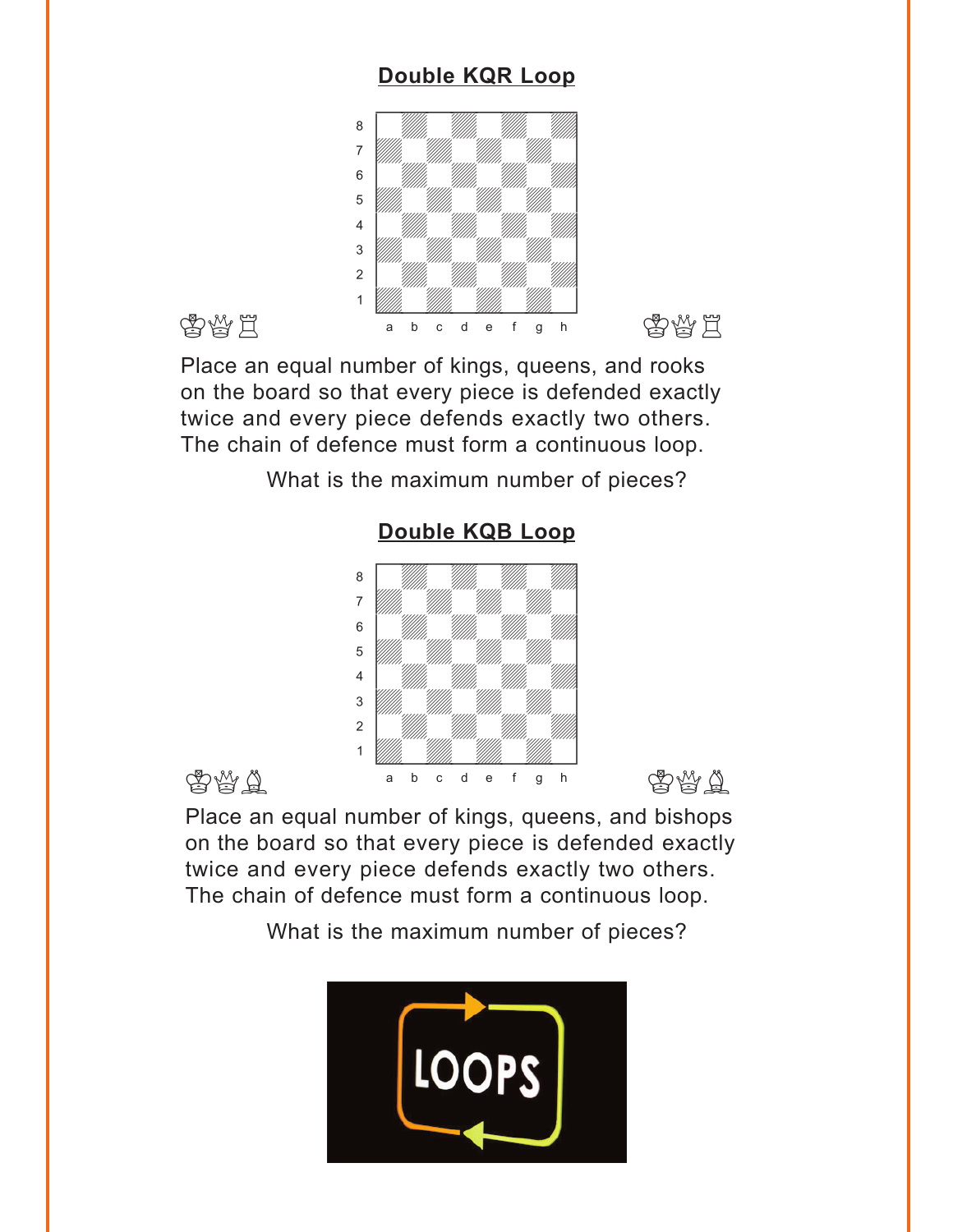# **[Double KQR Loop](#page-6-0)**

<span id="page-2-0"></span>

Place an equal number of kings, queens, and rooks on the board so that every piece is defended exactly twice and every piece defends exactly two others. The chain of defence must form a continuous loop.

What is the maximum number of pieces?



# **[Double KQB Loop](#page-6-0)**

Place an equal number of kings, queens, and bishops on the board so that every piece is defended exactly twice and every piece defends exactly two others. The chain of defence must form a continuous loop.

What is the maximum number of pieces?

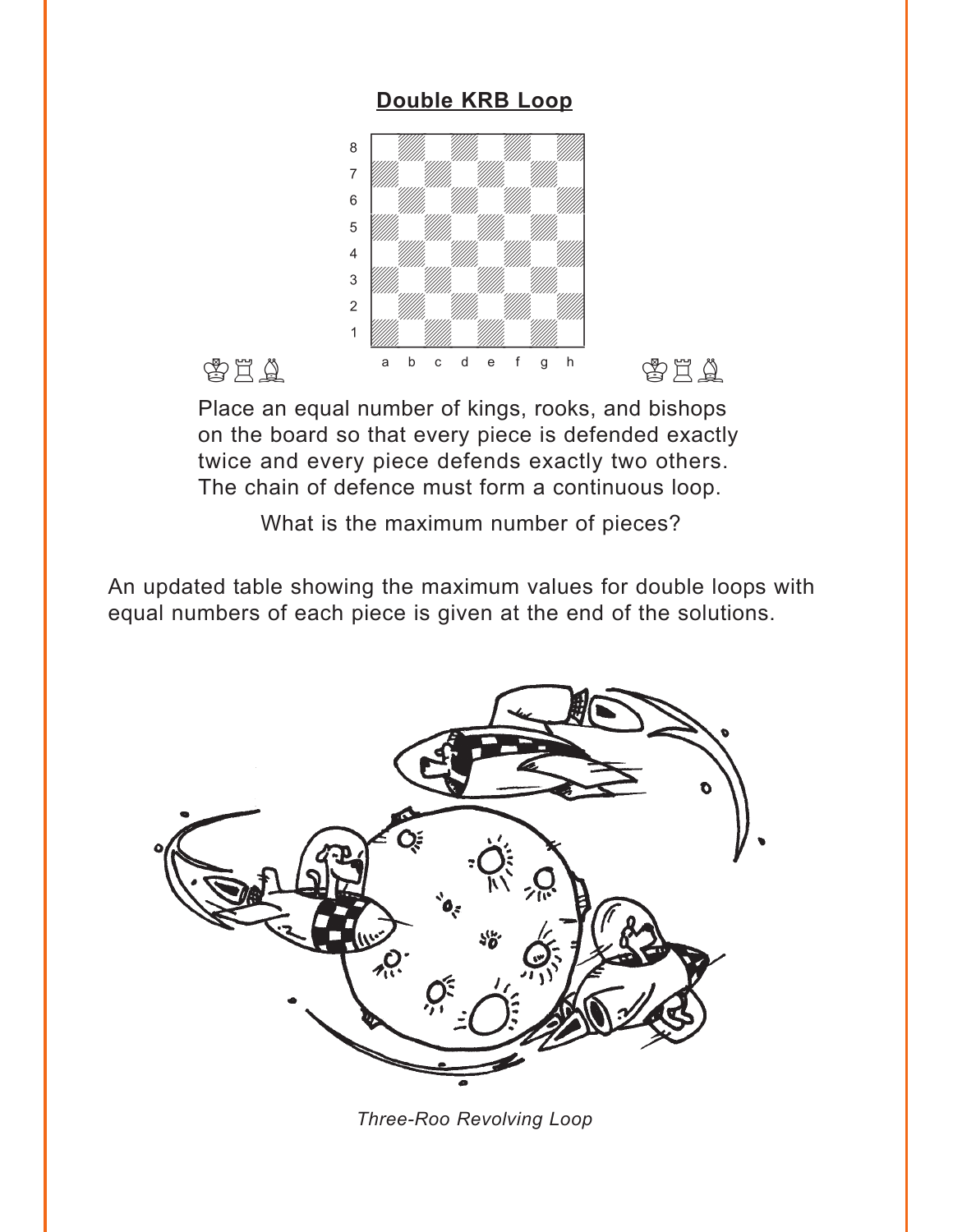### **[Double KRB Loop](#page-7-0)**

<span id="page-3-0"></span>

Place an equal number of kings, rooks, and bishops on the board so that every piece is defended exactly twice and every piece defends exactly two others. The chain of defence must form a continuous loop.

What is the maximum number of pieces?

An updated table showing the maximum values for double loops with equal numbers of each piece is given at the end of the solutions.



*Three-Roo Revolving Loop*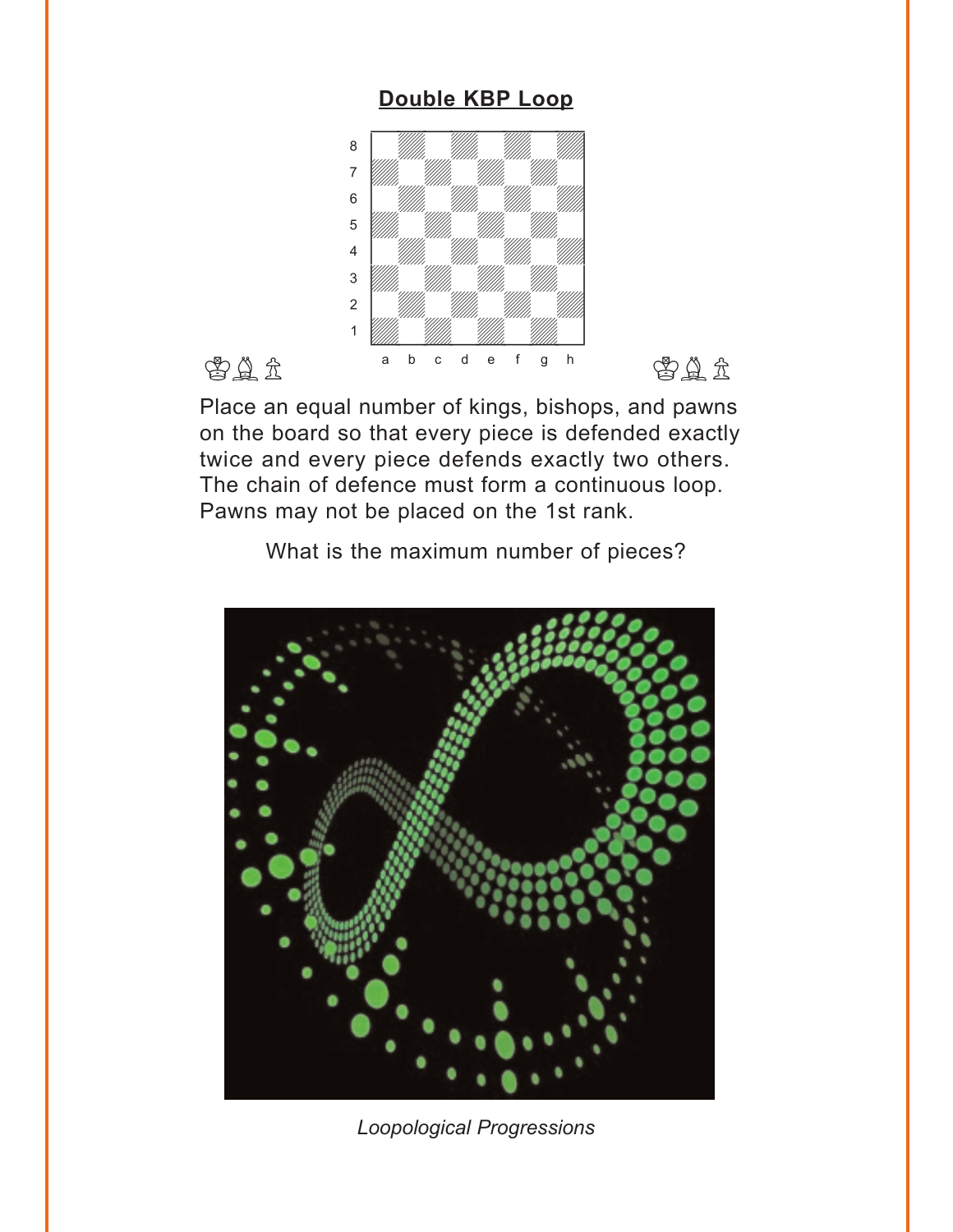### **Double KBP Loop**

<span id="page-4-0"></span>

Place an equal number of kings, bishops, and pawns on the board so that every piece is defended exactly twice and every piece defends exactly two others. The chain of defence must form a continuous loop. Pawns may not be placed on the 1st rank.

What is the maximum number of pieces?



*Loopological Progressions*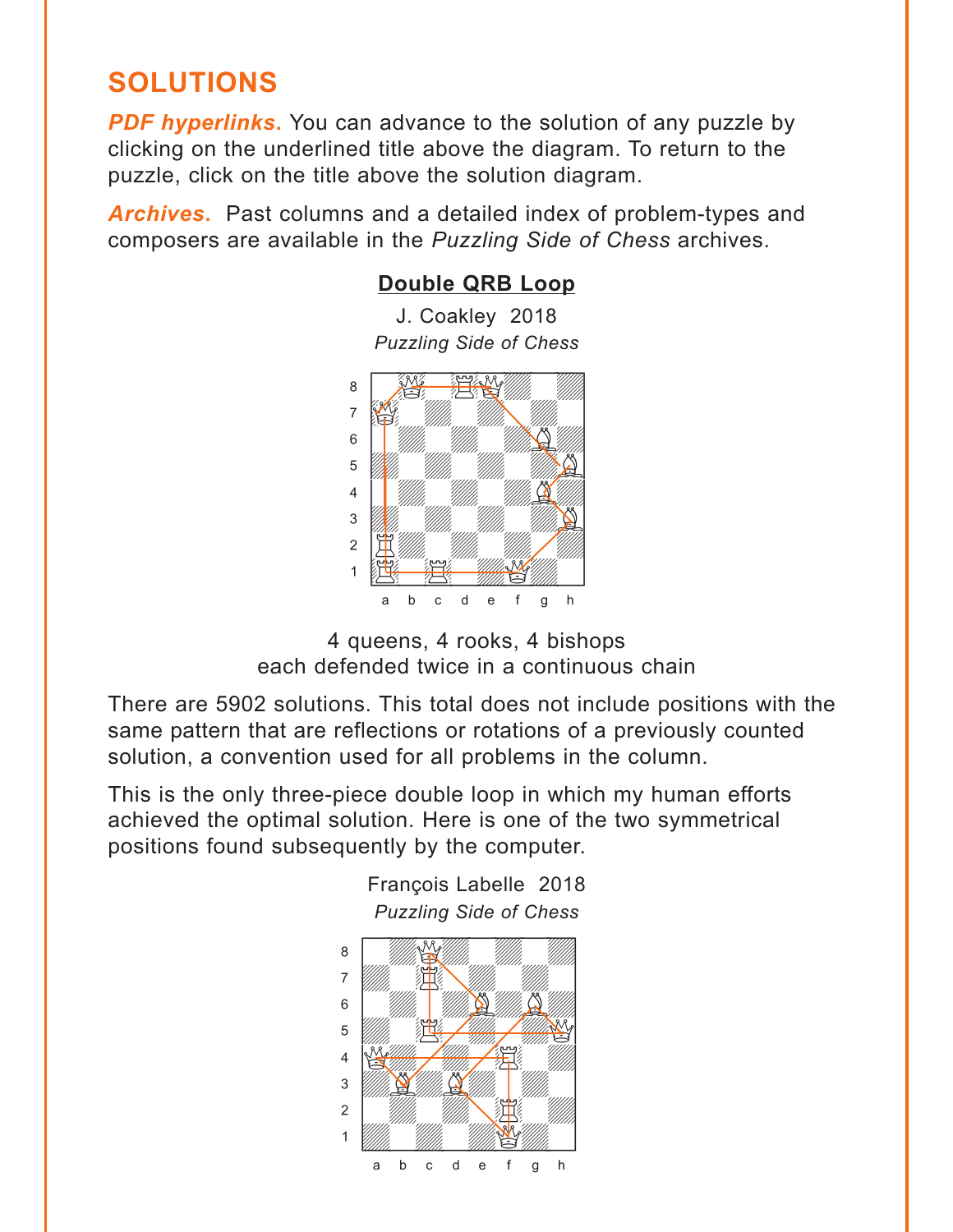# <span id="page-5-0"></span>**SOLUTIONS**

**PDF hyperlinks.** You can advance to the solution of any puzzle by clicking on the underlined title above the diagram. To return to the puzzle, click on the title above the solution diagram.

*Archives***.** Past columns and a detailed index of problem-types and composers are available in the *Puzzling Side of Chess* archives.

# **[Double QRB Loop](#page-1-0)**

J. Coakley 2018 *Puzzling Side of Chess*



<sup>4</sup> queens, 4 rooks, 4 bishops each defended twice in a continuous chain

There are 5902 solutions. This total does not include positions with the same pattern that are reflections or rotations of a previously counted solution, a convention used for all problems in the column.

François Labelle 2018

This is the only three-piece double loop in which my human efforts achieved the optimal solution. Here is one of the two symmetrical positions found subsequently by the computer.

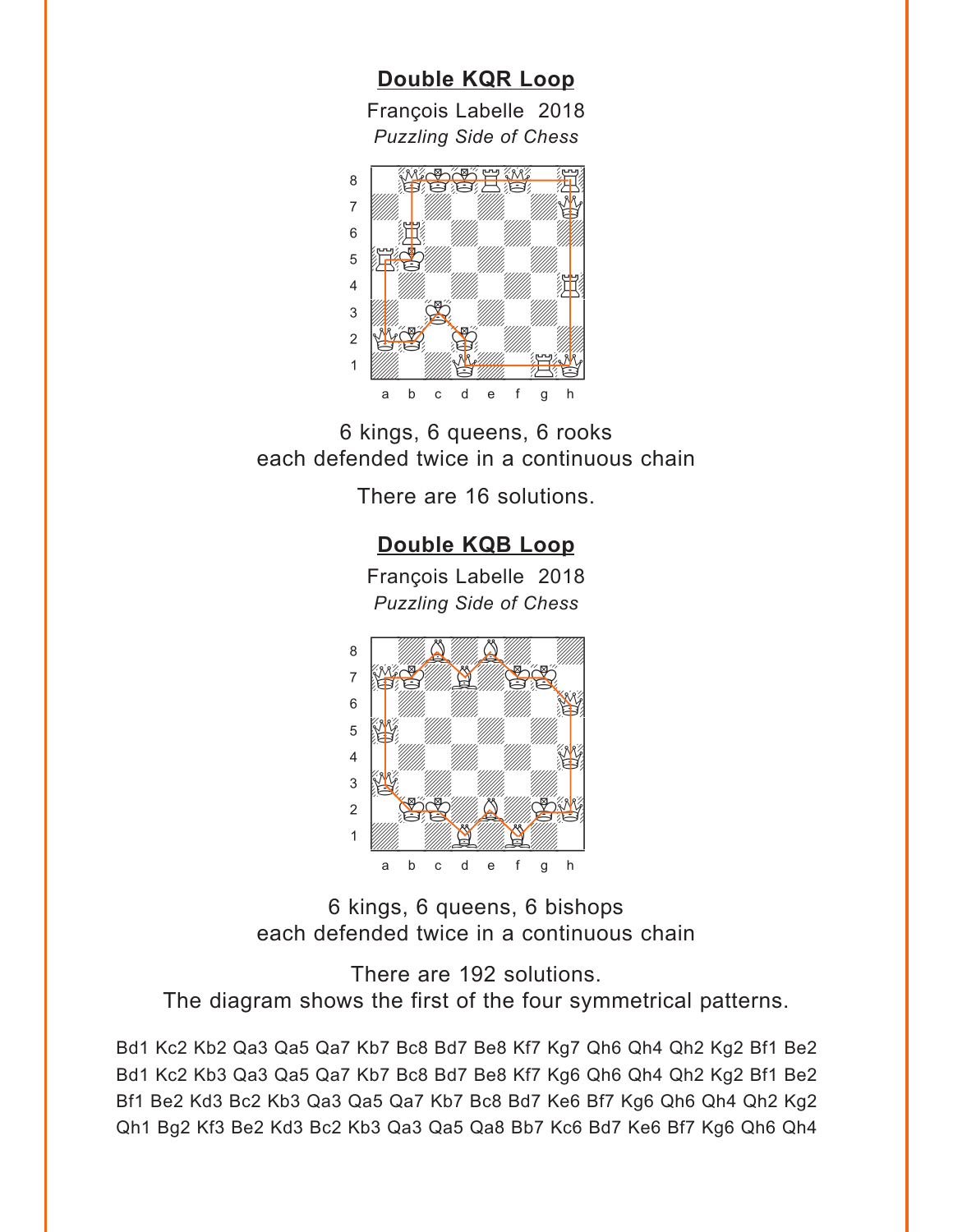### **[Double KQR Loop](#page-2-0)**

François Labelle 2018 *Puzzling Side of Chess*

<span id="page-6-0"></span>

6 kings, 6 queens, 6 rooks each defended twice in a continuous chain

There are 16 solutions.

# **[Double KQB Loop](#page-2-0)**

François Labelle 2018 *Puzzling Side of Chess*



6 kings, 6 queens, 6 bishops each defended twice in a continuous chain

There are 192 solutions. The diagram shows the first of the four symmetrical patterns.

Bd1 Kc2 Kb2 Qa3 Qa5 Qa7 Kb7 Bc8 Bd7 Be8 Kf7 Kg7 Qh6 Qh4 Qh2 Kg2 Bf1 Be2 Bd1 Kc2 Kb3 Qa3 Qa5 Qa7 Kb7 Bc8 Bd7 Be8 Kf7 Kg6 Qh6 Qh4 Qh2 Kg2 Bf1 Be2 Bf1 Be2 Kd3 Bc2 Kb3 Qa3 Qa5 Qa7 Kb7 Bc8 Bd7 Ke6 Bf7 Kg6 Qh6 Qh4 Qh2 Kg2 Qh1 Bg2 Kf3 Be2 Kd3 Bc2 Kb3 Qa3 Qa5 Qa8 Bb7 Kc6 Bd7 Ke6 Bf7 Kg6 Qh6 Qh4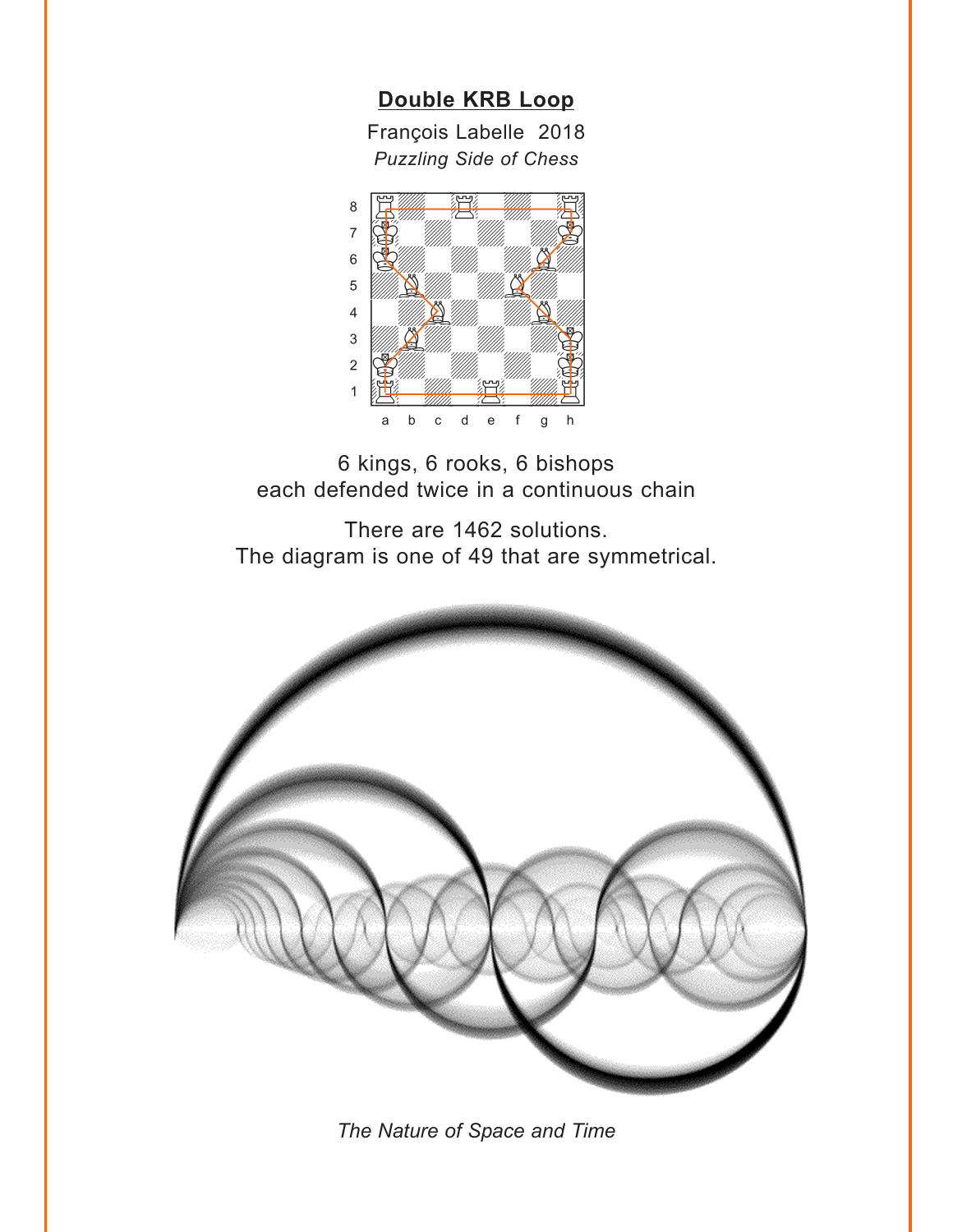**[Double KRB Loop](#page-3-0)**

François Labelle 2018 *Puzzling Side of Chess*

<span id="page-7-0"></span>

6 kings, 6 rooks, 6 bishops each defended twice in a continuous chain

There are 1462 solutions. The diagram is one of 49 that are symmetrical.



*The Nature of Space and Time*